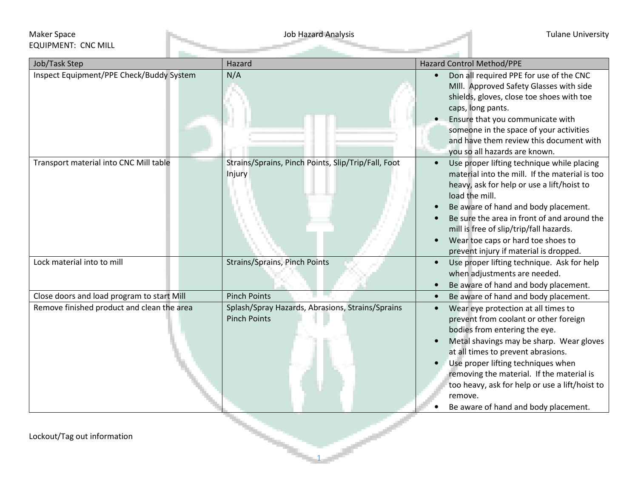## Maker Space **Maker Space** Tulane University EQUIPMENT: CNC MILL

| Inspect Equipment/PPE Check/Buddy System<br>N/A<br>$\bullet$<br>caps, long pants.<br>you so all hazards are known.<br>Transport material into CNC Mill table<br>Strains/Sprains, Pinch Points, Slip/Trip/Fall, Foot<br>$\bullet$<br>Injury<br>load the mill.<br>Lock material into to mill<br><b>Strains/Sprains, Pinch Points</b><br>$\bullet$<br>Close doors and load program to start Mill<br><b>Pinch Points</b><br>$\bullet$<br>Splash/Spray Hazards, Abrasions, Strains/Sprains<br>Remove finished product and clean the area<br>$\bullet$<br><b>Pinch Points</b><br>bodies from entering the eye. |               |        |                                                                                                                                                                                                                                                                                                                                                              |
|----------------------------------------------------------------------------------------------------------------------------------------------------------------------------------------------------------------------------------------------------------------------------------------------------------------------------------------------------------------------------------------------------------------------------------------------------------------------------------------------------------------------------------------------------------------------------------------------------------|---------------|--------|--------------------------------------------------------------------------------------------------------------------------------------------------------------------------------------------------------------------------------------------------------------------------------------------------------------------------------------------------------------|
|                                                                                                                                                                                                                                                                                                                                                                                                                                                                                                                                                                                                          | Job/Task Step | Hazard | <b>Hazard Control Method/PPE</b>                                                                                                                                                                                                                                                                                                                             |
|                                                                                                                                                                                                                                                                                                                                                                                                                                                                                                                                                                                                          |               |        | Don all required PPE for use of the CNC<br>MIII. Approved Safety Glasses with side<br>shields, gloves, close toe shoes with toe<br>Ensure that you communicate with<br>someone in the space of your activities<br>and have them review this document with                                                                                                    |
|                                                                                                                                                                                                                                                                                                                                                                                                                                                                                                                                                                                                          |               |        | Use proper lifting technique while placing<br>material into the mill. If the material is too<br>heavy, ask for help or use a lift/hoist to<br>Be aware of hand and body placement.<br>Be sure the area in front of and around the<br>mill is free of slip/trip/fall hazards.<br>Wear toe caps or hard toe shoes to<br>prevent injury if material is dropped. |
|                                                                                                                                                                                                                                                                                                                                                                                                                                                                                                                                                                                                          |               |        | Use proper lifting technique. Ask for help<br>when adjustments are needed.<br>Be aware of hand and body placement.                                                                                                                                                                                                                                           |
|                                                                                                                                                                                                                                                                                                                                                                                                                                                                                                                                                                                                          |               |        | Be aware of hand and body placement.                                                                                                                                                                                                                                                                                                                         |
| remove.                                                                                                                                                                                                                                                                                                                                                                                                                                                                                                                                                                                                  |               |        | Wear eye protection at all times to<br>prevent from coolant or other foreign<br>Metal shavings may be sharp. Wear gloves<br>at all times to prevent abrasions.<br>Use proper lifting techniques when<br>removing the material. If the material is<br>too heavy, ask for help or use a lift/hoist to<br>Be aware of hand and body placement.                  |

1

Lockout/Tag out information